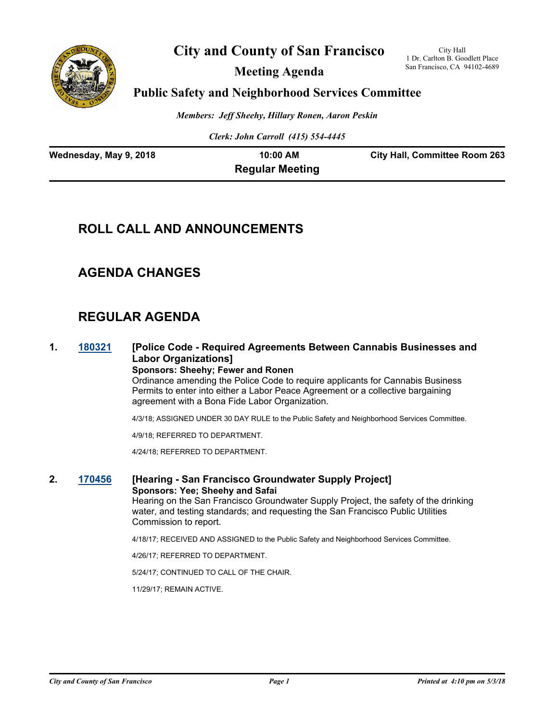

# **City and County of San Francisco**

**Meeting Agenda**

City Hall 1 Dr. Carlton B. Goodlett Place San Francisco, CA 94102-4689

## **Public Safety and Neighborhood Services Committee**

*Members: Jeff Sheehy, Hillary Ronen, Aaron Peskin*

*Clerk: John Carroll (415) 554-4445*

| Wednesday, May 9, 2018 | 10:00 AM               | <b>City Hall, Committee Room 263</b> |
|------------------------|------------------------|--------------------------------------|
|                        | <b>Regular Meeting</b> |                                      |

# **ROLL CALL AND ANNOUNCEMENTS**

## **AGENDA CHANGES**

# **REGULAR AGENDA**

**1. [180321](http://sfgov.legistar.com/gateway.aspx?m=l&id=33190) [Police Code - Required Agreements Between Cannabis Businesses and Labor Organizations]**

**Sponsors: Sheehy; Fewer and Ronen** Ordinance amending the Police Code to require applicants for Cannabis Business Permits to enter into either a Labor Peace Agreement or a collective bargaining agreement with a Bona Fide Labor Organization.

4/3/18; ASSIGNED UNDER 30 DAY RULE to the Public Safety and Neighborhood Services Committee.

4/9/18; REFERRED TO DEPARTMENT.

4/24/18; REFERRED TO DEPARTMENT.

#### **2. [170456](http://sfgov.legistar.com/gateway.aspx?m=l&id=32018) [Hearing - San Francisco Groundwater Supply Project] Sponsors: Yee; Sheehy and Safai** Hearing on the San Francisco Groundwater Supply Project, the safety of the drinking

water, and testing standards; and requesting the San Francisco Public Utilities Commission to report.

4/18/17; RECEIVED AND ASSIGNED to the Public Safety and Neighborhood Services Committee.

4/26/17; REFERRED TO DEPARTMENT.

5/24/17; CONTINUED TO CALL OF THE CHAIR.

11/29/17; REMAIN ACTIVE.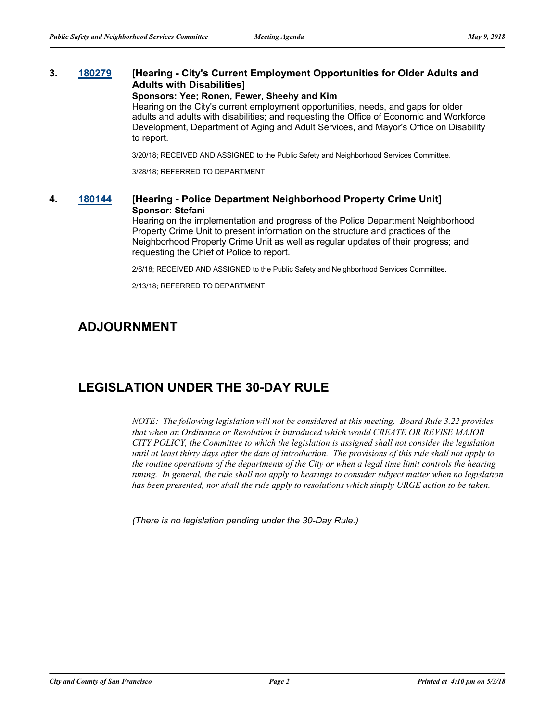## **3. [180279](http://sfgov.legistar.com/gateway.aspx?m=l&id=33148) [Hearing - City's Current Employment Opportunities for Older Adults and Adults with Disabilities]**

#### **Sponsors: Yee; Ronen, Fewer, Sheehy and Kim**

Hearing on the City's current employment opportunities, needs, and gaps for older adults and adults with disabilities; and requesting the Office of Economic and Workforce Development, Department of Aging and Adult Services, and Mayor's Office on Disability to report.

3/20/18; RECEIVED AND ASSIGNED to the Public Safety and Neighborhood Services Committee.

3/28/18; REFERRED TO DEPARTMENT.

### **4. [180144](http://sfgov.legistar.com/gateway.aspx?m=l&id=33013) [Hearing - Police Department Neighborhood Property Crime Unit] Sponsor: Stefani**

Hearing on the implementation and progress of the Police Department Neighborhood Property Crime Unit to present information on the structure and practices of the Neighborhood Property Crime Unit as well as regular updates of their progress; and requesting the Chief of Police to report.

2/6/18; RECEIVED AND ASSIGNED to the Public Safety and Neighborhood Services Committee.

2/13/18; REFERRED TO DEPARTMENT.

## **ADJOURNMENT**

# **LEGISLATION UNDER THE 30-DAY RULE**

*NOTE: The following legislation will not be considered at this meeting. Board Rule 3.22 provides that when an Ordinance or Resolution is introduced which would CREATE OR REVISE MAJOR CITY POLICY, the Committee to which the legislation is assigned shall not consider the legislation until at least thirty days after the date of introduction. The provisions of this rule shall not apply to the routine operations of the departments of the City or when a legal time limit controls the hearing timing. In general, the rule shall not apply to hearings to consider subject matter when no legislation has been presented, nor shall the rule apply to resolutions which simply URGE action to be taken.*

*(There is no legislation pending under the 30-Day Rule.)*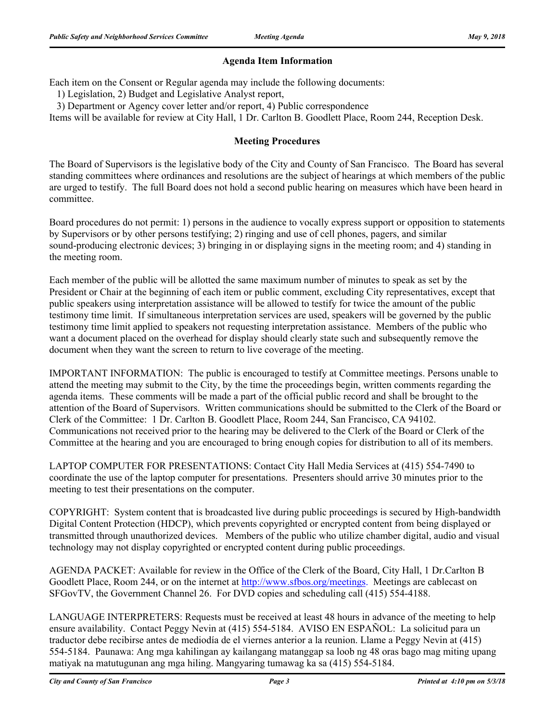## **Agenda Item Information**

Each item on the Consent or Regular agenda may include the following documents:

1) Legislation, 2) Budget and Legislative Analyst report,

3) Department or Agency cover letter and/or report, 4) Public correspondence

Items will be available for review at City Hall, 1 Dr. Carlton B. Goodlett Place, Room 244, Reception Desk.

### **Meeting Procedures**

The Board of Supervisors is the legislative body of the City and County of San Francisco. The Board has several standing committees where ordinances and resolutions are the subject of hearings at which members of the public are urged to testify. The full Board does not hold a second public hearing on measures which have been heard in committee.

Board procedures do not permit: 1) persons in the audience to vocally express support or opposition to statements by Supervisors or by other persons testifying; 2) ringing and use of cell phones, pagers, and similar sound-producing electronic devices; 3) bringing in or displaying signs in the meeting room; and 4) standing in the meeting room.

Each member of the public will be allotted the same maximum number of minutes to speak as set by the President or Chair at the beginning of each item or public comment, excluding City representatives, except that public speakers using interpretation assistance will be allowed to testify for twice the amount of the public testimony time limit. If simultaneous interpretation services are used, speakers will be governed by the public testimony time limit applied to speakers not requesting interpretation assistance. Members of the public who want a document placed on the overhead for display should clearly state such and subsequently remove the document when they want the screen to return to live coverage of the meeting.

IMPORTANT INFORMATION: The public is encouraged to testify at Committee meetings. Persons unable to attend the meeting may submit to the City, by the time the proceedings begin, written comments regarding the agenda items. These comments will be made a part of the official public record and shall be brought to the attention of the Board of Supervisors. Written communications should be submitted to the Clerk of the Board or Clerk of the Committee: 1 Dr. Carlton B. Goodlett Place, Room 244, San Francisco, CA 94102. Communications not received prior to the hearing may be delivered to the Clerk of the Board or Clerk of the Committee at the hearing and you are encouraged to bring enough copies for distribution to all of its members.

LAPTOP COMPUTER FOR PRESENTATIONS: Contact City Hall Media Services at (415) 554-7490 to coordinate the use of the laptop computer for presentations. Presenters should arrive 30 minutes prior to the meeting to test their presentations on the computer.

COPYRIGHT: System content that is broadcasted live during public proceedings is secured by High-bandwidth Digital Content Protection (HDCP), which prevents copyrighted or encrypted content from being displayed or transmitted through unauthorized devices. Members of the public who utilize chamber digital, audio and visual technology may not display copyrighted or encrypted content during public proceedings.

AGENDA PACKET: Available for review in the Office of the Clerk of the Board, City Hall, 1 Dr.Carlton B Goodlett Place, Room 244, or on the internet at http://www.sfbos.org/meetings. Meetings are cablecast on SFGovTV, the Government Channel 26. For DVD copies and scheduling call (415) 554-4188.

LANGUAGE INTERPRETERS: Requests must be received at least 48 hours in advance of the meeting to help ensure availability. Contact Peggy Nevin at (415) 554-5184. AVISO EN ESPAÑOL: La solicitud para un traductor debe recibirse antes de mediodía de el viernes anterior a la reunion. Llame a Peggy Nevin at (415) 554-5184. Paunawa: Ang mga kahilingan ay kailangang matanggap sa loob ng 48 oras bago mag miting upang matiyak na matutugunan ang mga hiling. Mangyaring tumawag ka sa (415) 554-5184.